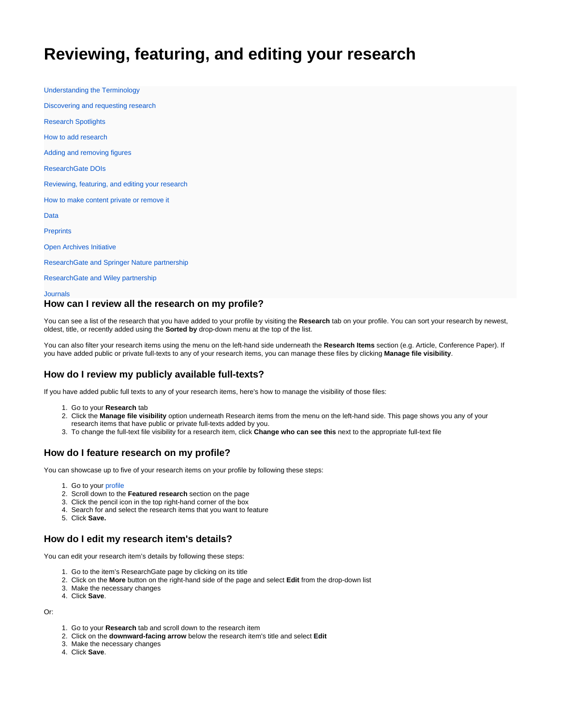# <span id="page-0-0"></span>**Reviewing, featuring, and editing your research**

[Understanding the Terminology](https://explore.researchgate.net/display/support/Understanding+the+terminology) [Discovering and requesting research](https://explore.researchgate.net/display/support/Discovering+and+requesting+research) [Research Spotlights](https://explore.researchgate.net/display/support/Research+Spotlights) [How to add research](https://explore.researchgate.net/display/support/How+to+add+research) [Adding and removing figures](https://explore.researchgate.net/display/support/Adding+and+removing+figures) [ResearchGate DOIs](https://explore.researchgate.net/display/support/ResearchGate+DOIs) [Reviewing, featuring, and editing your research](#page-0-0) [How to make content private or remove it](https://explore.researchgate.net/display/support/How+to+make+content+private+or+remove+it) [Data](https://explore.researchgate.net/display/support/Data) **[Preprints](https://explore.researchgate.net/display/support/Preprints)** [Open Archives Initiative](https://explore.researchgate.net/display/support/Open+Archives+Initiative) [ResearchGate and Springer Nature partnership](https://explore.researchgate.net/display/support/ResearchGate+and+Springer+Nature+partnership) [ResearchGate and Wiley partnership](https://explore.researchgate.net/display/support/ResearchGate+and+Wiley+partnership)

[Journals](https://explore.researchgate.net/display/support/Journals)

### **How can I review all the research on my profile?**

You can see a list of the research that you have added to your profile by visiting the [Research](https://www.researchgate.net/go.Profile.contributions.html) tab on your profile. You can sort your research by newest, oldest, title, or recently added using the **Sorted by** drop-down menu at the top of the list.

You can also filter your research items using the menu on the left-hand side underneath the **Research Items** section (e.g. Article, Conference Paper). If you have added public or private full-texts to any of your research items, you can manage these files by clicking **[Manage file visibility](https://www.researchgate.net/go.Profile.files.html)**.

## **How do I review my publicly available full-texts?**

If you have added public full texts to any of your research items, here's how to manage the visibility of those files:

- 1. Go to your **[Research](https://www.researchgate.net/go.Profile.contributions.html)** tab
- 2. Click the **[Manage file visibility](https://www.researchgate.net/go.Profile.files.html)** option underneath Research items from the menu on the left-hand side. This page shows you any of your research items that have public or private full-texts added by you.
- 3. To change the full-text file visibility for a research item, click **Change who can see this** next to the appropriate full-text file

## **How do I feature research on my profile?**

You can showcase up to five of your research items on your profile by following these steps:

- 1. Go to your [profile](https://www.researchgate.net/go.Profile.html?pli=1)
- 2. Scroll down to the **Featured research** section on the page
- 3. Click the pencil icon in the top right-hand corner of the box
- 4. Search for and select the research items that you want to feature
- 5. Click **Save.**

### **How do I edit my research item's details?**

You can edit your research item's details by following these steps:

- 1. Go to the item's ResearchGate page by clicking on its title
- 2. Click on the **More** button on the right-hand side of the page and select **Edit** from the drop-down list
- 3. Make the necessary changes
- 4. Click **Save**.

Or:

- 1. Go to your **[Research](https://www.researchgate.net/go.Profile.contributions.html)** tab and scroll down to the research item
- 2. Click on the **downward-facing arrow** below the research item's title and select **Edit**
- 3. Make the necessary changes
- 4. Click **Save**.